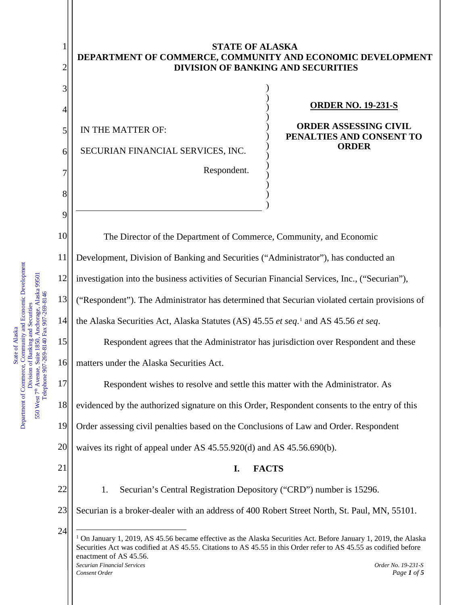<span id="page-0-0"></span>Department of Commerce, Community and Economic Development Department of Commerce, Community and Economic Development 550 West 7<sup>th</sup> Avenue, Suite 1850, Anchorage, Alaska 99501<br>Telephone 907-269-8140 Fax 907-269-8146 550 West 7<sup>th</sup> Avenue, Suite 1850, Anchorage, Alaska 99501 Telephone 907-269-8140 Fax 907-269-8146 Division of Banking and Securities Division of Banking and Securities State of Alaska State of Alaska

## **STATE OF ALASKA DEPARTMENT OF COMMERCE, COMMUNITY AND ECONOMIC DEVELOPMENT DIVISION OF BANKING AND SECURITIES**

) ) ) ) ) ) ) ) ) ) ) )

)

IN THE MATTER OF:

1

2

3

4

5

6

7

8

9

SECURIAN FINANCIAL SERVICES, INC.

Respondent.

## **ORDER NO. 19-231-S**

**ORDER ASSESSING CIVIL PENALTIES AND CONSENT TO ORDER**

*Securian Financial Services Order No. 19-231-S Consent Order Page 1 of 5 Page 1 of 5 Page 1 of 5* 10 11 12 13 14 15 16 17 18 19 20 21 22 23 24 The Director of the Department of Commerce, Community, and Economic Development, Division of Banking and Securities ("Administrator"), has conducted an investigation into the business activities of Securian Financial Services, Inc., ("Securian"), ("Respondent"). The Administrator has determined that Securian violated certain provisions of the Alaska Securities Act, Alaska Statutes (AS) 45.55 *et seq*.[1](#page-0-0) and AS 45.56 *et seq*. Respondent agrees that the Administrator has jurisdiction over Respondent and these matters under the Alaska Securities Act. Respondent wishes to resolve and settle this matter with the Administrator. As evidenced by the authorized signature on this Order, Respondent consents to the entry of this Order assessing civil penalties based on the Conclusions of Law and Order. Respondent waives its right of appeal under AS 45.55.920(d) and AS 45.56.690(b). **I. FACTS** 1. Securian's Central Registration Depository ("CRD") number is 15296. Securian is a broker-dealer with an address of 400 Robert Street North, St. Paul, MN, 55101.  $1$  On January 1, 2019, AS 45.56 became effective as the Alaska Securities Act. Before January 1, 2019, the Alaska Securities Act was codified at AS 45.55. Citations to AS 45.55 in this Order refer to AS 45.55 as codified before enactment of AS 45.56.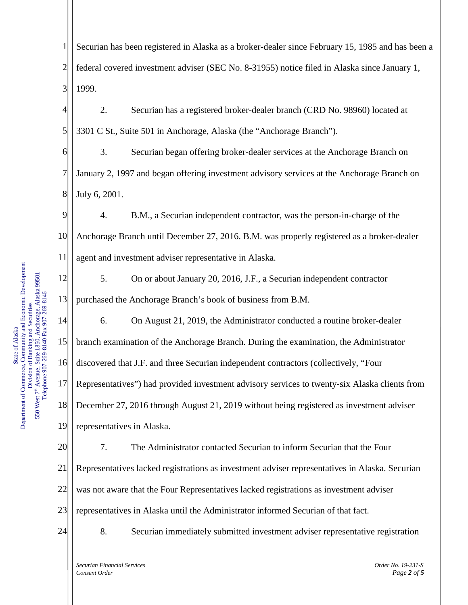1 2 3 Securian has been registered in Alaska as a broker-dealer since February 15, 1985 and has been a federal covered investment adviser (SEC No. 8-31955) notice filed in Alaska since January 1, 1999.

4 5 2. Securian has a registered broker-dealer branch (CRD No. 98960) located at 3301 C St., Suite 501 in Anchorage, Alaska (the "Anchorage Branch").

6 3. Securian began offering broker-dealer services at the Anchorage Branch on January 2, 1997 and began offering investment advisory services at the Anchorage Branch on July 6, 2001.

4. B.M., a Securian independent contractor, was the person-in-charge of the Anchorage Branch until December 27, 2016. B.M. was properly registered as a broker-dealer agent and investment adviser representative in Alaska.

5. On or about January 20, 2016, J.F., a Securian independent contractor purchased the Anchorage Branch's book of business from B.M.

19 6. On August 21, 2019, the Administrator conducted a routine broker-dealer branch examination of the Anchorage Branch. During the examination, the Administrator discovered that J.F. and three Securian independent contractors (collectively, "Four Representatives") had provided investment advisory services to twenty-six Alaska clients from December 27, 2016 through August 21, 2019 without being registered as investment adviser representatives in Alaska.

20 21 22 23 7. The Administrator contacted Securian to inform Securian that the Four Representatives lacked registrations as investment adviser representatives in Alaska. Securian was not aware that the Four Representatives lacked registrations as investment adviser representatives in Alaska until the Administrator informed Securian of that fact.

24

8. Securian immediately submitted investment adviser representative registration

*Securian Financial Services Order No. 19-231-S Consent Order Page 2 of 5 Page 2 of 5*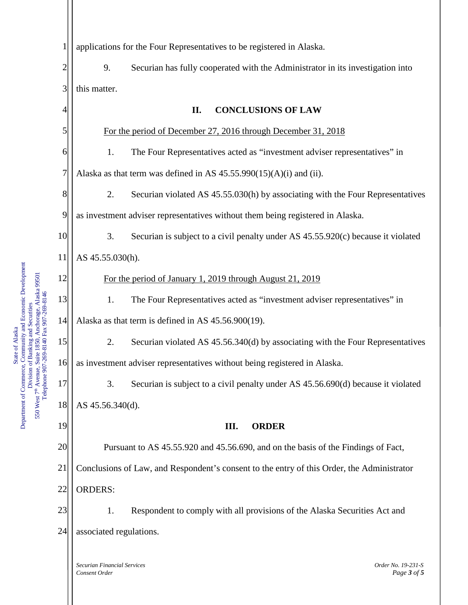| $\mathbf 1$    | applications for the Four Representatives to be registered in Alaska.                      |
|----------------|--------------------------------------------------------------------------------------------|
| $\overline{c}$ | 9.<br>Securian has fully cooperated with the Administrator in its investigation into       |
| 3              | this matter.                                                                               |
| 4              | <b>CONCLUSIONS OF LAW</b><br>II.                                                           |
| 5              | For the period of December 27, 2016 through December 31, 2018                              |
| 6              | The Four Representatives acted as "investment adviser representatives" in<br>1.            |
| 7              | Alaska as that term was defined in AS $45.55.990(15)(A)(i)$ and (ii).                      |
| 8              | 2.<br>Securian violated AS 45.55.030(h) by associating with the Four Representatives       |
| 9              | as investment adviser representatives without them being registered in Alaska.             |
| 10             | 3.<br>Securian is subject to a civil penalty under AS $45.55.920(c)$ because it violated   |
| 11             | AS 45.55.030(h).                                                                           |
| 12             | For the period of January 1, 2019 through August 21, 2019                                  |
| 13             | 1.<br>The Four Representatives acted as "investment adviser representatives" in            |
| 14             | Alaska as that term is defined in AS 45.56.900(19).                                        |
| 15             | 2.<br>Securian violated AS 45.56.340(d) by associating with the Four Representatives       |
| 16             | as investment adviser representatives without being registered in Alaska.                  |
| 17             | Securian is subject to a civil penalty under AS 45.56.690(d) because it violated<br>3.     |
| 18             | AS 45.56.340(d).                                                                           |
| 19             | III.<br><b>ORDER</b>                                                                       |
| 20             | Pursuant to AS 45.55.920 and 45.56.690, and on the basis of the Findings of Fact,          |
| 21             | Conclusions of Law, and Respondent's consent to the entry of this Order, the Administrator |
| 22             | <b>ORDERS:</b>                                                                             |
| 23             | 1.<br>Respondent to comply with all provisions of the Alaska Securities Act and            |
| 24             | associated regulations.                                                                    |
|                |                                                                                            |
|                | Securian Financial Services<br>Order No. 19-231-S<br>Page 3 of 5<br>Consent Order          |

State of Alaska<br>Department of Commerce, Community and Economic Development<br>Division of Banking and Securities<br>550 West 7<sup>th</sup> Avenue, Suite 1850, Anchorage, Alaska 99501<br>Telephone 907-269-8140 Fax 907-269-8146 Department of Commerce, Community and Economic Development 550 West 7<sup>th</sup> Avenue, Suite 1850, Anchorage, Alaska 99501 Telephone 907-269-8140 Fax 907-269-8146 Division of Banking and Securities State of Alaska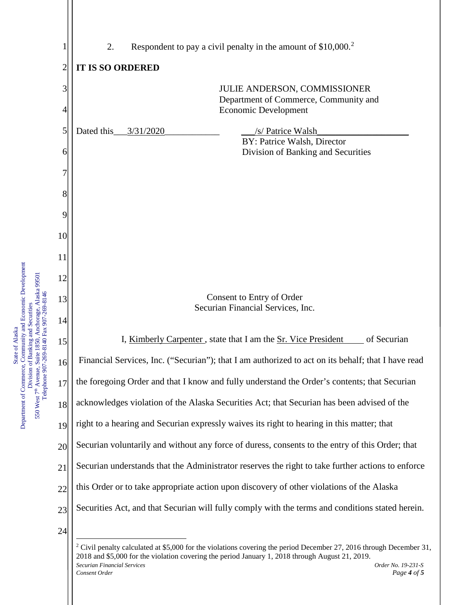| $\mathbf 1$    | Respondent to pay a civil penalty in the amount of $$10,000.2$<br>2.                               |
|----------------|----------------------------------------------------------------------------------------------------|
| $\overline{2}$ | <b>IT IS SO ORDERED</b>                                                                            |
| 3              | <b>JULIE ANDERSON, COMMISSIONER</b>                                                                |
| $\overline{4}$ | Department of Commerce, Community and<br>Economic Development                                      |
| 5              | Dated this<br>3/31/2020<br>/s/ Patrice Walsh                                                       |
| 6              | BY: Patrice Walsh, Director<br>Division of Banking and Securities                                  |
| 7              |                                                                                                    |
| 8              |                                                                                                    |
| 9              |                                                                                                    |
| 10             |                                                                                                    |
| 11             |                                                                                                    |
| 12             |                                                                                                    |
| 13             | Consent to Entry of Order                                                                          |
| 14             | Securian Financial Services, Inc.                                                                  |
| 15             | I, Kimberly Carpenter, state that I am the <u>Sr. Vice President</u><br>of Securian                |
| 16             | Financial Services, Inc. ("Securian"); that I am authorized to act on its behalf; that I have read |
| 17             | the foregoing Order and that I know and fully understand the Order's contents; that Securian       |
| 18             | acknowledges violation of the Alaska Securities Act; that Securian has been advised of the         |
| 19             | right to a hearing and Securian expressly waives its right to hearing in this matter; that         |
| 20             | Securian voluntarily and without any force of duress, consents to the entry of this Order; that    |
| 21             | Securian understands that the Administrator reserves the right to take further actions to enforce  |
| 22             | this Order or to take appropriate action upon discovery of other violations of the Alaska          |
| 23             | Securities Act, and that Securian will fully comply with the terms and conditions stated herein.   |
| 24             |                                                                                                    |

 $2$  Civil penalty calculated at \$5,000 for the violations covering the period December 27, 2016 through December 31,

<span id="page-3-0"></span>2018 and \$5,000 for the violation covering the period January 1, 2018 through August 21, 2019.

State of Alaska<br>Department of Commerce, Community and Economic Development<br>Division of Banking and Securities<br>550 West 7<sup>th</sup> Avenue, Suite 1850, Anchorage, Alaska 99501<br>Telephone 907-269-8140 Fax 907-269-8146 Department of Commerce, Community and Economic Development 550 West 7<sup>th</sup> Avenue, Suite 1850, Anchorage, Alaska 99501 Telephone 907-269-8140 Fax 907-269-8146 Division of Banking and Securities State of Alaska